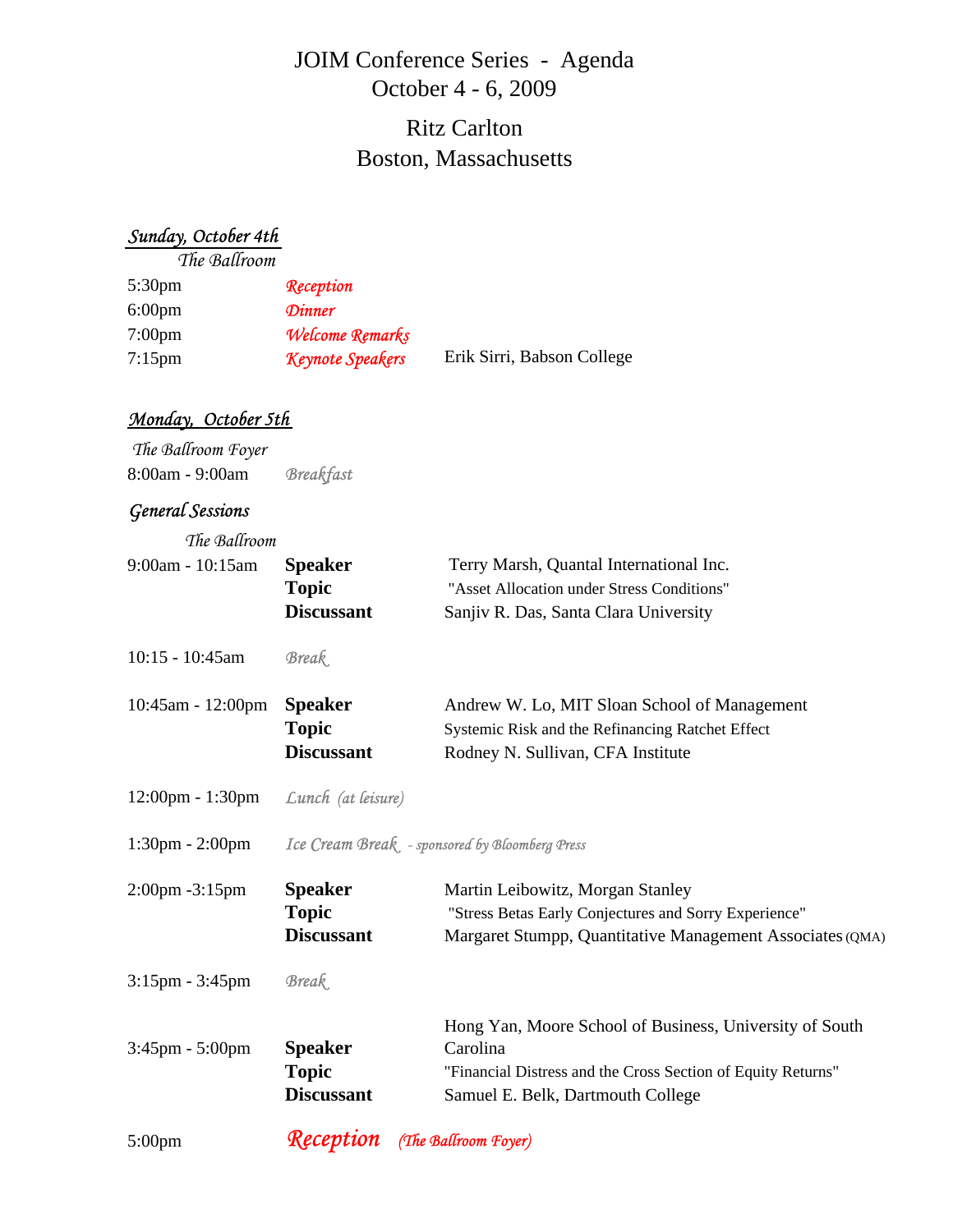# JOIM Conference Series - Agenda October 4 - 6, 2009

# Boston, Massachusetts Ritz Carlton

#### *Sunday, October 4th*

*The Ballroom*

| Reception               |                            |
|-------------------------|----------------------------|
| <b>Dinner</b>           |                            |
| Welcome Remarks         |                            |
| <b>Keynote Speakers</b> | Erik Sirri, Babson College |
|                         |                            |

#### *Monday, October 5th*

 *The Ballroom Foyer* 8:00am - 9:00am *Breakfast*

## *General Sessions*

| The Ballroom                       |                                                 |                                                              |
|------------------------------------|-------------------------------------------------|--------------------------------------------------------------|
| 9:00am - 10:15am                   | <b>Speaker</b>                                  | Terry Marsh, Quantal International Inc.                      |
|                                    | <b>Topic</b>                                    | "Asset Allocation under Stress Conditions"                   |
|                                    | <b>Discussant</b>                               | Sanjiv R. Das, Santa Clara University                        |
| $10:15 - 10:45am$                  | <b>Break</b>                                    |                                                              |
| $10:45$ am - $12:00$ pm            | <b>Speaker</b>                                  | Andrew W. Lo, MIT Sloan School of Management                 |
|                                    | <b>Topic</b>                                    | Systemic Risk and the Refinancing Ratchet Effect             |
|                                    | <b>Discussant</b>                               | Rodney N. Sullivan, CFA Institute                            |
| $12:00 \text{pm} - 1:30 \text{pm}$ | Lunch (at leisure)                              |                                                              |
| $1:30 \text{pm} - 2:00 \text{pm}$  | Ice Cream Break. - sponsored by Bloomberg Press |                                                              |
| 2:00pm -3:15pm                     | <b>Speaker</b>                                  | Martin Leibowitz, Morgan Stanley                             |
|                                    | <b>Topic</b>                                    | "Stress Betas Early Conjectures and Sorry Experience"        |
|                                    | <b>Discussant</b>                               | Margaret Stumpp, Quantitative Management Associates (QMA)    |
| 3:15pm - 3:45pm                    | <b>Break</b>                                    |                                                              |
|                                    |                                                 | Hong Yan, Moore School of Business, University of South      |
| $3:45$ pm - $5:00$ pm              | <b>Speaker</b>                                  | Carolina                                                     |
|                                    | <b>Topic</b>                                    | "Financial Distress and the Cross Section of Equity Returns" |
|                                    | <b>Discussant</b>                               | Samuel E. Belk, Dartmouth College                            |
| $5:00$ pm                          | <b>Reception</b> (The Ballroom Foyer)           |                                                              |